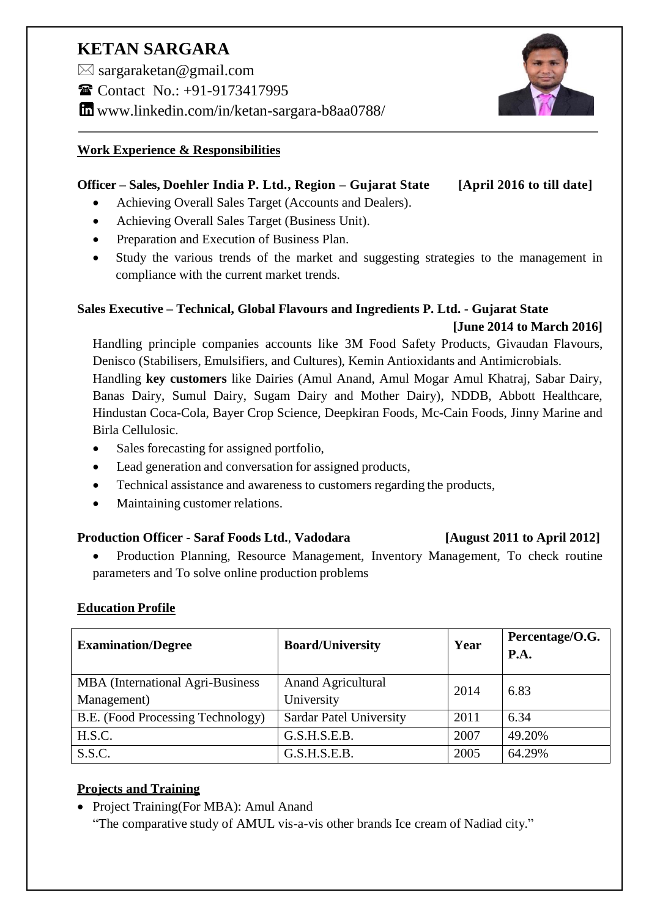# **KETAN SARGARA**

 $\boxtimes$  sargaraketan@gmail.com

Contact No.: +91-9173417995

www.linkedin.com/in/ketan-sargara-b8aa0788/

#### **Work Experience & Responsibilities**

## **Officer – Sales, Doehler India P. Ltd., Region – Gujarat State [April 2016 to till date]**

- Achieving Overall Sales Target (Accounts and Dealers).
- Achieving Overall Sales Target (Business Unit).
- Preparation and Execution of Business Plan.
- Study the various trends of the market and suggesting strategies to the management in compliance with the current market trends.

## **Sales Executive – Technical, Global Flavours and Ingredients P. Ltd.** - **Gujarat State**

#### **[June 2014 to March 2016]**

Handling principle companies accounts like 3M Food Safety Products, Givaudan Flavours, Denisco (Stabilisers, Emulsifiers, and Cultures), Kemin Antioxidants and Antimicrobials.

Handling **key customers** like Dairies (Amul Anand, Amul Mogar Amul Khatraj, Sabar Dairy, Banas Dairy, Sumul Dairy, Sugam Dairy and Mother Dairy), NDDB, Abbott Healthcare, Hindustan Coca-Cola, Bayer Crop Science, Deepkiran Foods, Mc-Cain Foods, Jinny Marine and Birla Cellulosic.

- Sales forecasting for assigned portfolio,
- Lead generation and conversation for assigned products,
- Technical assistance and awareness to customers regarding the products,
- Maintaining customer relations.

#### **Production Officer - Saraf Foods Ltd.**, **Vadodara [August 2011 to April 2012]**

 Production Planning, Resource Management, Inventory Management, To check routine parameters and To solve online production problems

## **Education Profile**

| <b>Examination/Degree</b>               | <b>Board/University</b>        | Year | Percentage/O.G.<br>P.A. |
|-----------------------------------------|--------------------------------|------|-------------------------|
| <b>MBA</b> (International Agri-Business | <b>Anand Agricultural</b>      | 2014 | 6.83                    |
| Management)                             | University                     |      |                         |
| B.E. (Food Processing Technology)       | <b>Sardar Patel University</b> | 2011 | 6.34                    |
| H.S.C.                                  | G.S.H.S.E.B.                   | 2007 | 49.20%                  |
| S.S.C.                                  | G.S.H.S.E.B.                   | 2005 | 64.29%                  |

## **Projects and Training**

• Project Training(For MBA): Amul Anand

"The comparative study of AMUL vis-a-vis other brands Ice cream of Nadiad city."